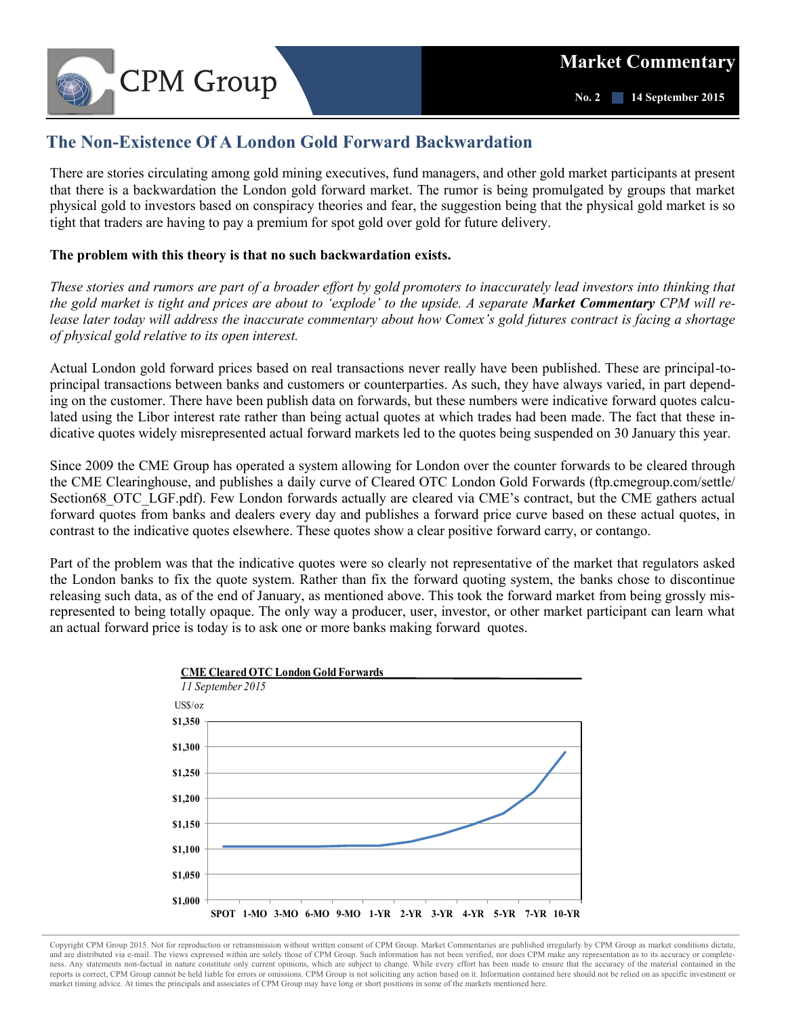

## **The Non-Existence Of A London Gold Forward Backwardation**

There are stories circulating among gold mining executives, fund managers, and other gold market participants at present that there is a backwardation the London gold forward market. The rumor is being promulgated by groups that market physical gold to investors based on conspiracy theories and fear, the suggestion being that the physical gold market is so tight that traders are having to pay a premium for spot gold over gold for future delivery.

## **The problem with this theory is that no such backwardation exists.**

*These stories and rumors are part of a broader effort by gold promoters to inaccurately lead investors into thinking that the gold market is tight and prices are about to 'explode' to the upside. A separate Market Commentary CPM will release later today will address the inaccurate commentary about how Comex's gold futures contract is facing a shortage of physical gold relative to its open interest.* 

Actual London gold forward prices based on real transactions never really have been published. These are principal-toprincipal transactions between banks and customers or counterparties. As such, they have always varied, in part depending on the customer. There have been publish data on forwards, but these numbers were indicative forward quotes calculated using the Libor interest rate rather than being actual quotes at which trades had been made. The fact that these indicative quotes widely misrepresented actual forward markets led to the quotes being suspended on 30 January this year.

Since 2009 the CME Group has operated a system allowing for London over the counter forwards to be cleared through the CME Clearinghouse, and publishes a daily curve of Cleared OTC London Gold Forwards (ftp.cmegroup.com/settle/ Section68 OTC LGF.pdf). Few London forwards actually are cleared via CME's contract, but the CME gathers actual forward quotes from banks and dealers every day and publishes a forward price curve based on these actual quotes, in contrast to the indicative quotes elsewhere. These quotes show a clear positive forward carry, or contango.

Part of the problem was that the indicative quotes were so clearly not representative of the market that regulators asked the London banks to fix the quote system. Rather than fix the forward quoting system, the banks chose to discontinue releasing such data, as of the end of January, as mentioned above. This took the forward market from being grossly misrepresented to being totally opaque. The only way a producer, user, investor, or other market participant can learn what an actual forward price is today is to ask one or more banks making forward quotes.



Copyright CPM Group 2015. Not for reproduction or retransmission without written consent of CPM Group. Market Commentaries are published irregularly by CPM Group as market conditions dictate, and are distributed via e-mail. The views expressed within are solely those of CPM Group. Such information has not been verified, nor does CPM make any representation as to its accuracy or completeness. Any statements non-factual in nature constitute only current opinions, which are subject to change. While every effort has been made to ensure that the accuracy of the material contained in the reports is correct, CPM Group cannot be held liable for errors or omissions. CPM Group is not soliciting any action based on it. Information contained here should not be relied on as specific investment or market timing advice. At times the principals and associates of CPM Group may have long or short positions in some of the markets mentioned here.